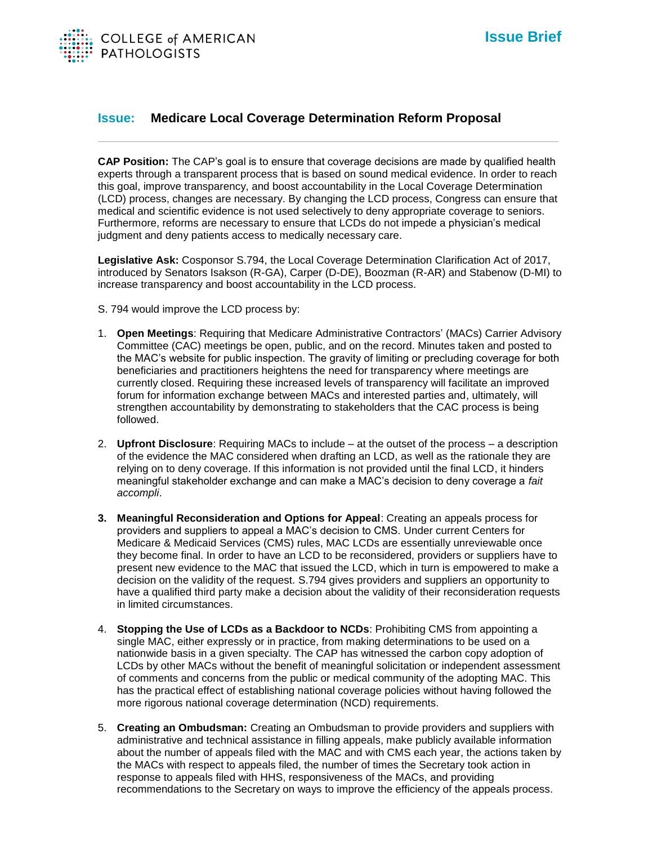

## **Issue: Medicare Local Coverage Determination Reform Proposal**

**CAP Position:** The CAP's goal is to ensure that coverage decisions are made by qualified health experts through a transparent process that is based on sound medical evidence. In order to reach this goal, improve transparency, and boost accountability in the Local Coverage Determination (LCD) process, changes are necessary. By changing the LCD process, Congress can ensure that medical and scientific evidence is not used selectively to deny appropriate coverage to seniors. Furthermore, reforms are necessary to ensure that LCDs do not impede a physician's medical judgment and deny patients access to medically necessary care.

**Legislative Ask:** Cosponsor S.794, the Local Coverage Determination Clarification Act of 2017, introduced by Senators Isakson (R-GA), Carper (D-DE), Boozman (R-AR) and Stabenow (D-MI) to increase transparency and boost accountability in the LCD process.

- S. 794 would improve the LCD process by:
- 1. **Open Meetings**: Requiring that Medicare Administrative Contractors' (MACs) Carrier Advisory Committee (CAC) meetings be open, public, and on the record. Minutes taken and posted to the MAC's website for public inspection. The gravity of limiting or precluding coverage for both beneficiaries and practitioners heightens the need for transparency where meetings are currently closed. Requiring these increased levels of transparency will facilitate an improved forum for information exchange between MACs and interested parties and, ultimately, will strengthen accountability by demonstrating to stakeholders that the CAC process is being followed.
- 2. **Upfront Disclosure**: Requiring MACs to include at the outset of the process a description of the evidence the MAC considered when drafting an LCD, as well as the rationale they are relying on to deny coverage. If this information is not provided until the final LCD, it hinders meaningful stakeholder exchange and can make a MAC's decision to deny coverage a *fait accompli*.
- **3. Meaningful Reconsideration and Options for Appeal**: Creating an appeals process for providers and suppliers to appeal a MAC's decision to CMS. Under current Centers for Medicare & Medicaid Services (CMS) rules, MAC LCDs are essentially unreviewable once they become final. In order to have an LCD to be reconsidered, providers or suppliers have to present new evidence to the MAC that issued the LCD, which in turn is empowered to make a decision on the validity of the request. S.794 gives providers and suppliers an opportunity to have a qualified third party make a decision about the validity of their reconsideration requests in limited circumstances.
- 4. **Stopping the Use of LCDs as a Backdoor to NCDs**: Prohibiting CMS from appointing a single MAC, either expressly or in practice, from making determinations to be used on a nationwide basis in a given specialty. The CAP has witnessed the carbon copy adoption of LCDs by other MACs without the benefit of meaningful solicitation or independent assessment of comments and concerns from the public or medical community of the adopting MAC. This has the practical effect of establishing national coverage policies without having followed the more rigorous national coverage determination (NCD) requirements.
- 5. **Creating an Ombudsman:** Creating an Ombudsman to provide providers and suppliers with administrative and technical assistance in filling appeals, make publicly available information about the number of appeals filed with the MAC and with CMS each year, the actions taken by the MACs with respect to appeals filed, the number of times the Secretary took action in response to appeals filed with HHS, responsiveness of the MACs, and providing recommendations to the Secretary on ways to improve the efficiency of the appeals process.